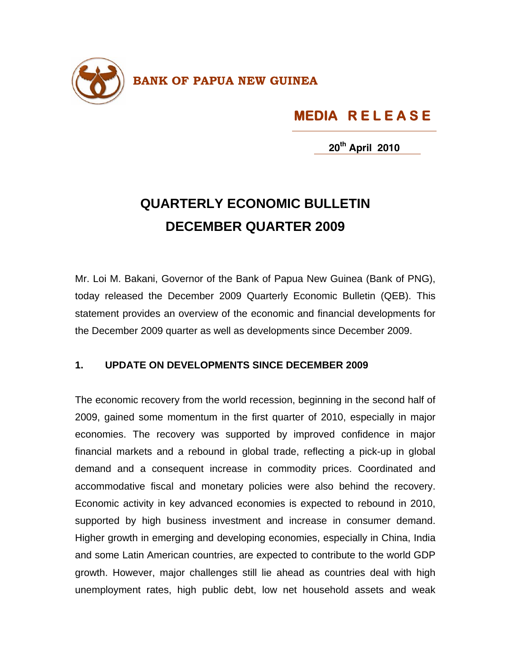

## **MEDIA R E L E A S E**

**20th April 2010**

## **QUARTERLY ECONOMIC BULLETIN DECEMBER QUARTER 2009**

Mr. Loi M. Bakani, Governor of the Bank of Papua New Guinea (Bank of PNG), today released the December 2009 Quarterly Economic Bulletin (QEB). This statement provides an overview of the economic and financial developments for the December 2009 quarter as well as developments since December 2009.

## **1. UPDATE ON DEVELOPMENTS SINCE DECEMBER 2009**

The economic recovery from the world recession, beginning in the second half of 2009, gained some momentum in the first quarter of 2010, especially in major economies. The recovery was supported by improved confidence in major financial markets and a rebound in global trade, reflecting a pick-up in global demand and a consequent increase in commodity prices. Coordinated and accommodative fiscal and monetary policies were also behind the recovery. Economic activity in key advanced economies is expected to rebound in 2010, supported by high business investment and increase in consumer demand. Higher growth in emerging and developing economies, especially in China, India and some Latin American countries, are expected to contribute to the world GDP growth. However, major challenges still lie ahead as countries deal with high unemployment rates, high public debt, low net household assets and weak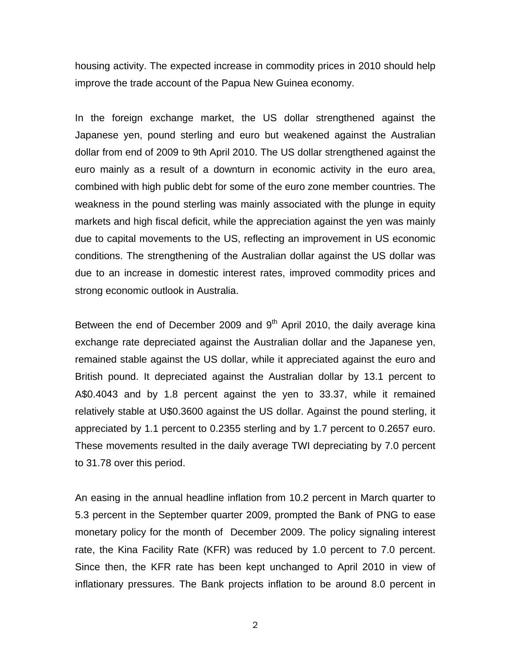housing activity. The expected increase in commodity prices in 2010 should help improve the trade account of the Papua New Guinea economy.

In the foreign exchange market, the US dollar strengthened against the Japanese yen, pound sterling and euro but weakened against the Australian dollar from end of 2009 to 9th April 2010. The US dollar strengthened against the euro mainly as a result of a downturn in economic activity in the euro area, combined with high public debt for some of the euro zone member countries. The weakness in the pound sterling was mainly associated with the plunge in equity markets and high fiscal deficit, while the appreciation against the yen was mainly due to capital movements to the US, reflecting an improvement in US economic conditions. The strengthening of the Australian dollar against the US dollar was due to an increase in domestic interest rates, improved commodity prices and strong economic outlook in Australia.

Between the end of December 2009 and  $9<sup>th</sup>$  April 2010, the daily average kina exchange rate depreciated against the Australian dollar and the Japanese yen, remained stable against the US dollar, while it appreciated against the euro and British pound. It depreciated against the Australian dollar by 13.1 percent to A\$0.4043 and by 1.8 percent against the yen to 33.37, while it remained relatively stable at U\$0.3600 against the US dollar. Against the pound sterling, it appreciated by 1.1 percent to 0.2355 sterling and by 1.7 percent to 0.2657 euro. These movements resulted in the daily average TWI depreciating by 7.0 percent to 31.78 over this period.

An easing in the annual headline inflation from 10.2 percent in March quarter to 5.3 percent in the September quarter 2009, prompted the Bank of PNG to ease monetary policy for the month of December 2009. The policy signaling interest rate, the Kina Facility Rate (KFR) was reduced by 1.0 percent to 7.0 percent. Since then, the KFR rate has been kept unchanged to April 2010 in view of inflationary pressures. The Bank projects inflation to be around 8.0 percent in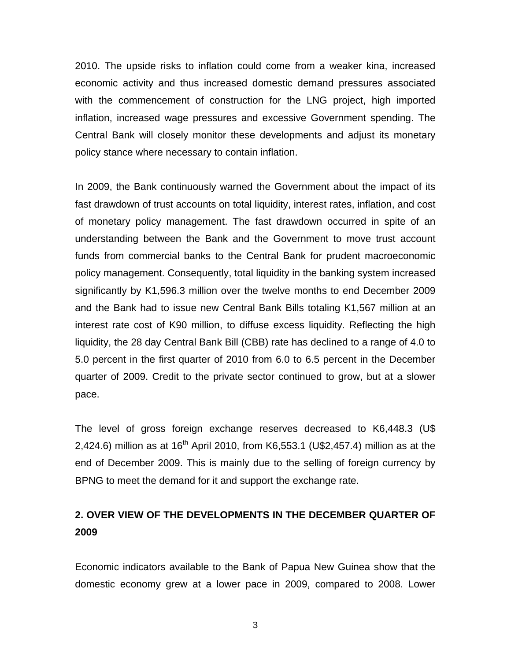2010. The upside risks to inflation could come from a weaker kina, increased economic activity and thus increased domestic demand pressures associated with the commencement of construction for the LNG project, high imported inflation, increased wage pressures and excessive Government spending. The Central Bank will closely monitor these developments and adjust its monetary policy stance where necessary to contain inflation.

In 2009, the Bank continuously warned the Government about the impact of its fast drawdown of trust accounts on total liquidity, interest rates, inflation, and cost of monetary policy management. The fast drawdown occurred in spite of an understanding between the Bank and the Government to move trust account funds from commercial banks to the Central Bank for prudent macroeconomic policy management. Consequently, total liquidity in the banking system increased significantly by K1,596.3 million over the twelve months to end December 2009 and the Bank had to issue new Central Bank Bills totaling K1,567 million at an interest rate cost of K90 million, to diffuse excess liquidity. Reflecting the high liquidity, the 28 day Central Bank Bill (CBB) rate has declined to a range of 4.0 to 5.0 percent in the first quarter of 2010 from 6.0 to 6.5 percent in the December quarter of 2009. Credit to the private sector continued to grow, but at a slower pace.

The level of gross foreign exchange reserves decreased to K6,448.3 (U\$ 2,424.6) million as at 16<sup>th</sup> April 2010, from K6,553.1 (U\$2,457.4) million as at the end of December 2009. This is mainly due to the selling of foreign currency by BPNG to meet the demand for it and support the exchange rate.

## **2. OVER VIEW OF THE DEVELOPMENTS IN THE DECEMBER QUARTER OF 2009**

Economic indicators available to the Bank of Papua New Guinea show that the domestic economy grew at a lower pace in 2009, compared to 2008. Lower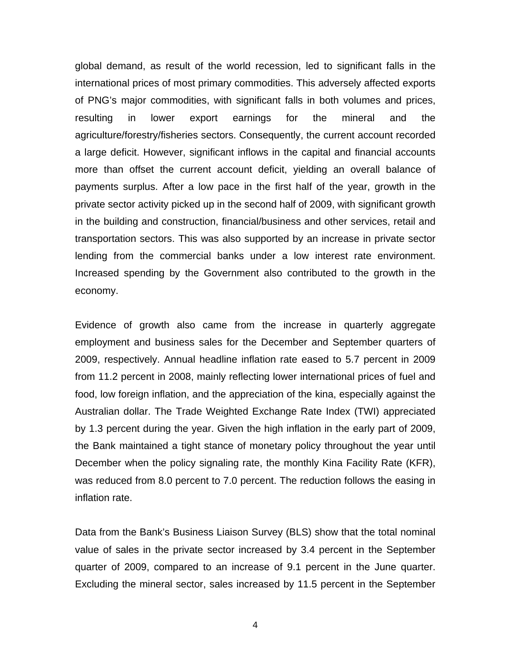global demand, as result of the world recession, led to significant falls in the international prices of most primary commodities. This adversely affected exports of PNG's major commodities, with significant falls in both volumes and prices, resulting in lower export earnings for the mineral and the agriculture/forestry/fisheries sectors. Consequently, the current account recorded a large deficit. However, significant inflows in the capital and financial accounts more than offset the current account deficit, yielding an overall balance of payments surplus. After a low pace in the first half of the year, growth in the private sector activity picked up in the second half of 2009, with significant growth in the building and construction, financial/business and other services, retail and transportation sectors. This was also supported by an increase in private sector lending from the commercial banks under a low interest rate environment. Increased spending by the Government also contributed to the growth in the economy.

Evidence of growth also came from the increase in quarterly aggregate employment and business sales for the December and September quarters of 2009, respectively. Annual headline inflation rate eased to 5.7 percent in 2009 from 11.2 percent in 2008, mainly reflecting lower international prices of fuel and food, low foreign inflation, and the appreciation of the kina, especially against the Australian dollar. The Trade Weighted Exchange Rate Index (TWI) appreciated by 1.3 percent during the year. Given the high inflation in the early part of 2009, the Bank maintained a tight stance of monetary policy throughout the year until December when the policy signaling rate, the monthly Kina Facility Rate (KFR), was reduced from 8.0 percent to 7.0 percent. The reduction follows the easing in inflation rate.

Data from the Bank's Business Liaison Survey (BLS) show that the total nominal value of sales in the private sector increased by 3.4 percent in the September quarter of 2009, compared to an increase of 9.1 percent in the June quarter. Excluding the mineral sector, sales increased by 11.5 percent in the September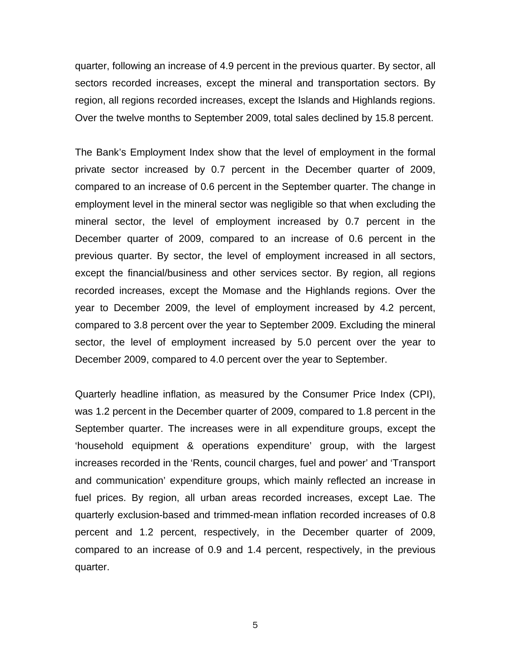quarter, following an increase of 4.9 percent in the previous quarter. By sector, all sectors recorded increases, except the mineral and transportation sectors. By region, all regions recorded increases, except the Islands and Highlands regions. Over the twelve months to September 2009, total sales declined by 15.8 percent.

The Bank's Employment Index show that the level of employment in the formal private sector increased by 0.7 percent in the December quarter of 2009, compared to an increase of 0.6 percent in the September quarter. The change in employment level in the mineral sector was negligible so that when excluding the mineral sector, the level of employment increased by 0.7 percent in the December quarter of 2009, compared to an increase of 0.6 percent in the previous quarter. By sector, the level of employment increased in all sectors, except the financial/business and other services sector. By region, all regions recorded increases, except the Momase and the Highlands regions. Over the year to December 2009, the level of employment increased by 4.2 percent, compared to 3.8 percent over the year to September 2009. Excluding the mineral sector, the level of employment increased by 5.0 percent over the year to December 2009, compared to 4.0 percent over the year to September.

Quarterly headline inflation, as measured by the Consumer Price Index (CPI), was 1.2 percent in the December quarter of 2009, compared to 1.8 percent in the September quarter. The increases were in all expenditure groups, except the 'household equipment & operations expenditure' group, with the largest increases recorded in the 'Rents, council charges, fuel and power' and 'Transport and communication' expenditure groups, which mainly reflected an increase in fuel prices. By region, all urban areas recorded increases, except Lae. The quarterly exclusion-based and trimmed-mean inflation recorded increases of 0.8 percent and 1.2 percent, respectively, in the December quarter of 2009, compared to an increase of 0.9 and 1.4 percent, respectively, in the previous quarter.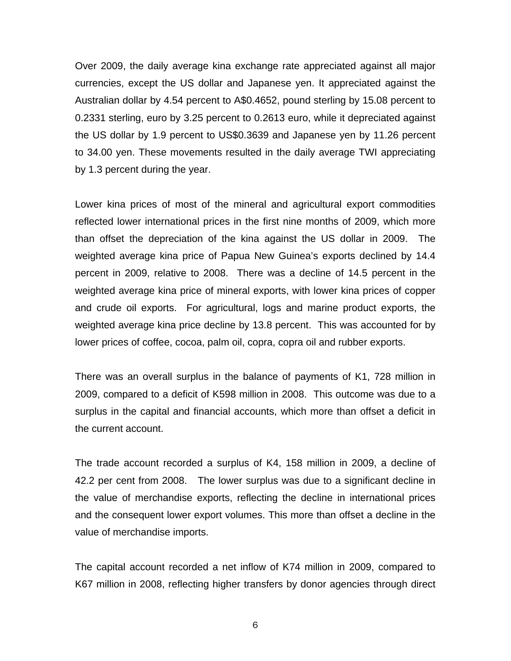Over 2009, the daily average kina exchange rate appreciated against all major currencies, except the US dollar and Japanese yen. It appreciated against the Australian dollar by 4.54 percent to A\$0.4652, pound sterling by 15.08 percent to 0.2331 sterling, euro by 3.25 percent to 0.2613 euro, while it depreciated against the US dollar by 1.9 percent to US\$0.3639 and Japanese yen by 11.26 percent to 34.00 yen. These movements resulted in the daily average TWI appreciating by 1.3 percent during the year.

Lower kina prices of most of the mineral and agricultural export commodities reflected lower international prices in the first nine months of 2009, which more than offset the depreciation of the kina against the US dollar in 2009. The weighted average kina price of Papua New Guinea's exports declined by 14.4 percent in 2009, relative to 2008. There was a decline of 14.5 percent in the weighted average kina price of mineral exports, with lower kina prices of copper and crude oil exports. For agricultural, logs and marine product exports, the weighted average kina price decline by 13.8 percent. This was accounted for by lower prices of coffee, cocoa, palm oil, copra, copra oil and rubber exports.

There was an overall surplus in the balance of payments of K1, 728 million in 2009, compared to a deficit of K598 million in 2008. This outcome was due to a surplus in the capital and financial accounts, which more than offset a deficit in the current account.

The trade account recorded a surplus of K4, 158 million in 2009, a decline of 42.2 per cent from 2008. The lower surplus was due to a significant decline in the value of merchandise exports, reflecting the decline in international prices and the consequent lower export volumes. This more than offset a decline in the value of merchandise imports.

The capital account recorded a net inflow of K74 million in 2009, compared to K67 million in 2008, reflecting higher transfers by donor agencies through direct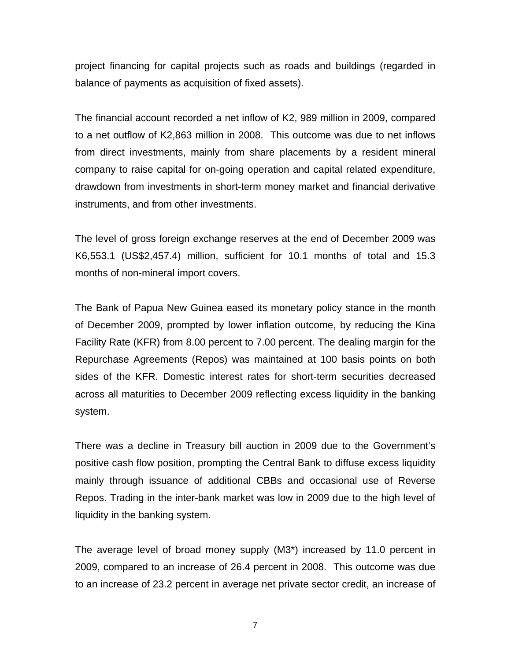project financing for capital projects such as roads and buildings (regarded in balance of payments as acquisition of fixed assets).

The financial account recorded a net inflow of K2, 989 million in 2009, compared to a net outflow of K2,863 million in 2008. This outcome was due to net inflows from direct investments, mainly from share placements by a resident mineral company to raise capital for on-going operation and capital related expenditure, drawdown from investments in short-term money market and financial derivative instruments, and from other investments.

The level of gross foreign exchange reserves at the end of December 2009 was K6,553.1 (US\$2,457.4) million, sufficient for 10.1 months of total and 15.3 months of non-mineral import covers.

The Bank of Papua New Guinea eased its monetary policy stance in the month of December 2009, prompted by lower inflation outcome, by reducing the Kina Facility Rate (KFR) from 8.00 percent to 7.00 percent. The dealing margin for the Repurchase Agreements (Repos) was maintained at 100 basis points on both sides of the KFR. Domestic interest rates for short-term securities decreased across all maturities to December 2009 reflecting excess liquidity in the banking system.

There was a decline in Treasury bill auction in 2009 due to the Government's positive cash flow position, prompting the Central Bank to diffuse excess liquidity mainly through issuance of additional CBBs and occasional use of Reverse Repos. Trading in the inter-bank market was low in 2009 due to the high level of liquidity in the banking system.

The average level of broad money supply (M3\*) increased by 11.0 percent in 2009, compared to an increase of 26.4 percent in 2008. This outcome was due to an increase of 23.2 percent in average net private sector credit, an increase of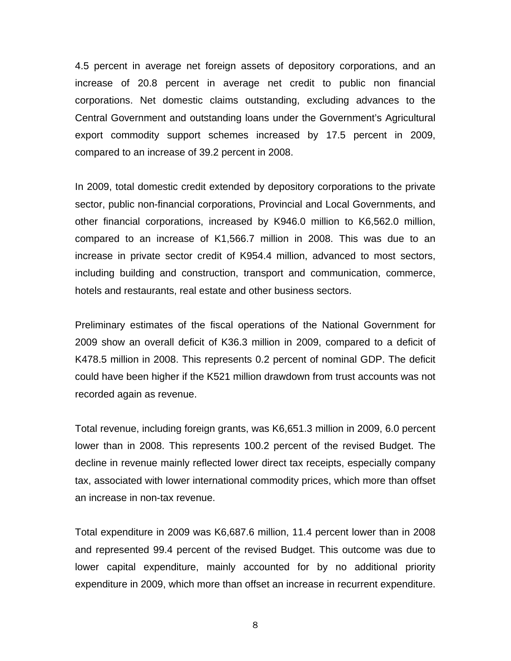4.5 percent in average net foreign assets of depository corporations, and an increase of 20.8 percent in average net credit to public non financial corporations. Net domestic claims outstanding, excluding advances to the Central Government and outstanding loans under the Government's Agricultural export commodity support schemes increased by 17.5 percent in 2009, compared to an increase of 39.2 percent in 2008.

In 2009, total domestic credit extended by depository corporations to the private sector, public non-financial corporations, Provincial and Local Governments, and other financial corporations, increased by K946.0 million to K6,562.0 million, compared to an increase of K1,566.7 million in 2008. This was due to an increase in private sector credit of K954.4 million, advanced to most sectors, including building and construction, transport and communication, commerce, hotels and restaurants, real estate and other business sectors.

Preliminary estimates of the fiscal operations of the National Government for 2009 show an overall deficit of K36.3 million in 2009, compared to a deficit of K478.5 million in 2008. This represents 0.2 percent of nominal GDP. The deficit could have been higher if the K521 million drawdown from trust accounts was not recorded again as revenue.

Total revenue, including foreign grants, was K6,651.3 million in 2009, 6.0 percent lower than in 2008. This represents 100.2 percent of the revised Budget. The decline in revenue mainly reflected lower direct tax receipts, especially company tax, associated with lower international commodity prices, which more than offset an increase in non-tax revenue.

Total expenditure in 2009 was K6,687.6 million, 11.4 percent lower than in 2008 and represented 99.4 percent of the revised Budget. This outcome was due to lower capital expenditure, mainly accounted for by no additional priority expenditure in 2009, which more than offset an increase in recurrent expenditure.